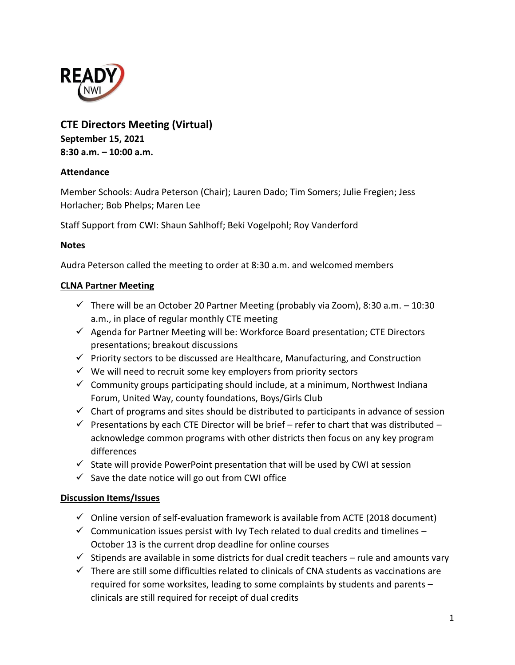

# **CTE Directors Meeting (Virtual) September 15, 2021 8:30 a.m. – 10:00 a.m.**

# **Attendance**

Member Schools: Audra Peterson (Chair); Lauren Dado; Tim Somers; Julie Fregien; Jess Horlacher; Bob Phelps; Maren Lee

Staff Support from CWI: Shaun Sahlhoff; Beki Vogelpohl; Roy Vanderford

#### **Notes**

Audra Peterson called the meeting to order at 8:30 a.m. and welcomed members

#### **CLNA Partner Meeting**

- $\checkmark$  There will be an October 20 Partner Meeting (probably via Zoom), 8:30 a.m. -10:30 a.m., in place of regular monthly CTE meeting
- $\checkmark$  Agenda for Partner Meeting will be: Workforce Board presentation; CTE Directors presentations; breakout discussions
- $\checkmark$  Priority sectors to be discussed are Healthcare, Manufacturing, and Construction
- $\checkmark$  We will need to recruit some key employers from priority sectors
- $\checkmark$  Community groups participating should include, at a minimum, Northwest Indiana Forum, United Way, county foundations, Boys/Girls Club
- $\checkmark$  Chart of programs and sites should be distributed to participants in advance of session
- $\checkmark$  Presentations by each CTE Director will be brief refer to chart that was distributed acknowledge common programs with other districts then focus on any key program differences
- $\checkmark$  State will provide PowerPoint presentation that will be used by CWI at session
- $\checkmark$  Save the date notice will go out from CWI office

# **Discussion Items/Issues**

- $\checkmark$  Online version of self-evaluation framework is available from ACTE (2018 document)
- $\checkmark$  Communication issues persist with Ivy Tech related to dual credits and timelines October 13 is the current drop deadline for online courses
- $\checkmark$  Stipends are available in some districts for dual credit teachers rule and amounts vary
- $\checkmark$  There are still some difficulties related to clinicals of CNA students as vaccinations are required for some worksites, leading to some complaints by students and parents – clinicals are still required for receipt of dual credits